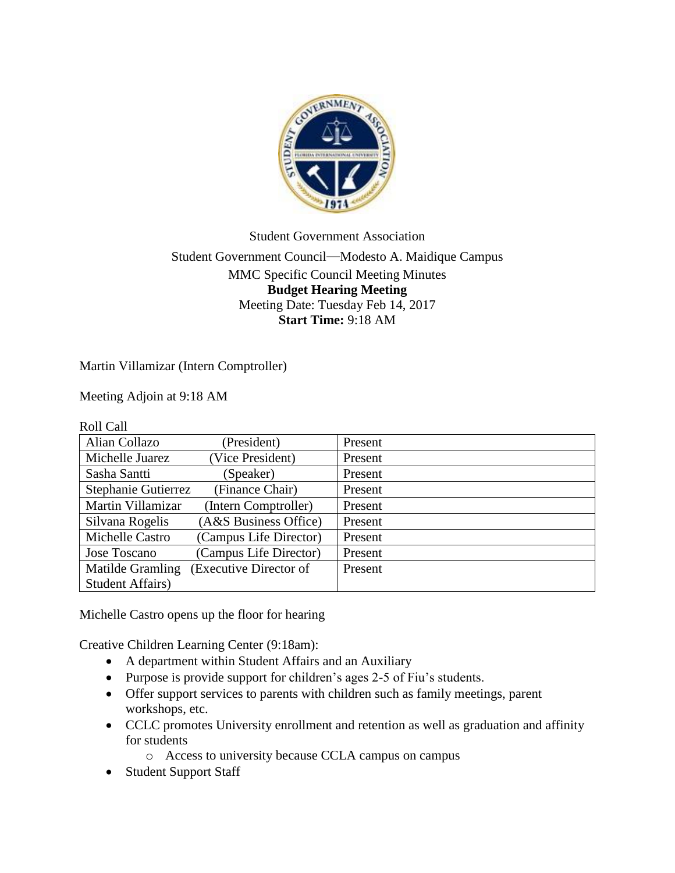

## Student Government Association Student Government Council—Modesto A. Maidique Campus MMC Specific Council Meeting Minutes **Budget Hearing Meeting** Meeting Date: Tuesday Feb 14, 2017 **Start Time:** 9:18 AM

Martin Villamizar (Intern Comptroller)

Meeting Adjoin at 9:18 AM

| <b>Roll Call</b>         |                        |         |
|--------------------------|------------------------|---------|
| Alian Collazo            | (President)            | Present |
| Michelle Juarez          | (Vice President)       | Present |
| Sasha Santti             | (Speaker)              | Present |
| Stephanie Gutierrez      | (Finance Chair)        | Present |
| Martin Villamizar        | Intern Comptroller)    | Present |
| Silvana Rogelis          | (A&S Business Office)  | Present |
| Michelle Castro          | (Campus Life Director) | Present |
| Jose Toscano             | (Campus Life Director) | Present |
| Matilde Gramling         | (Executive Director of | Present |
| <b>Student Affairs</b> ) |                        |         |

Michelle Castro opens up the floor for hearing

Creative Children Learning Center (9:18am):

- A department within Student Affairs and an Auxiliary
- Purpose is provide support for children's ages 2-5 of Fiu's students.
- Offer support services to parents with children such as family meetings, parent workshops, etc.
- CCLC promotes University enrollment and retention as well as graduation and affinity for students
	- o Access to university because CCLA campus on campus
- Student Support Staff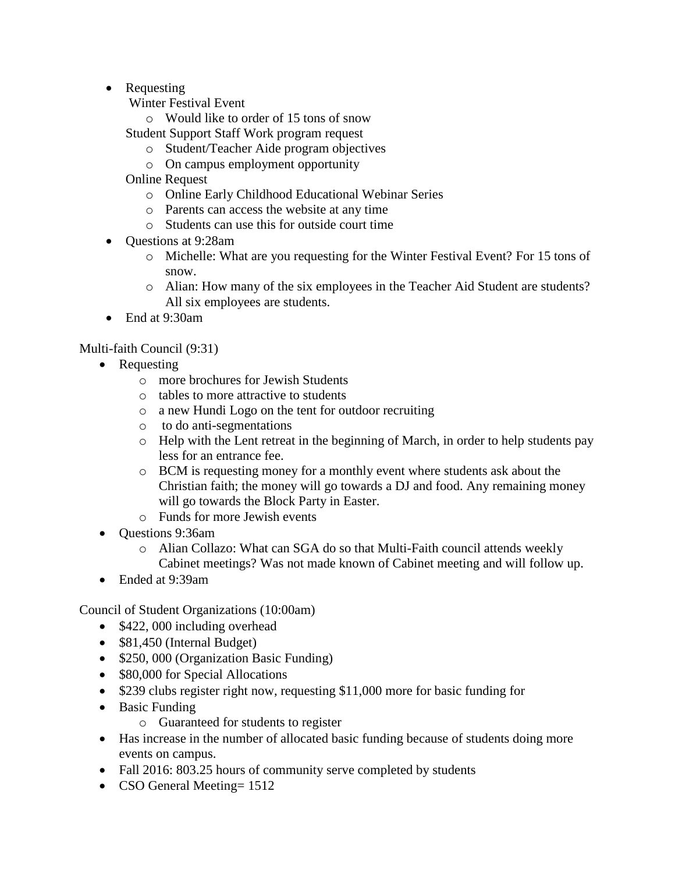- Requesting
	- Winter Festival Event
		- o Would like to order of 15 tons of snow
	- Student Support Staff Work program request
		- o Student/Teacher Aide program objectives
		- o On campus employment opportunity
	- Online Request
		- o Online Early Childhood Educational Webinar Series
		- o Parents can access the website at any time
		- o Students can use this for outside court time
- Ouestions at 9:28am
	- o Michelle: What are you requesting for the Winter Festival Event? For 15 tons of snow.
	- o Alian: How many of the six employees in the Teacher Aid Student are students? All six employees are students.
- End at 9:30am

Multi-faith Council (9:31)

- Requesting
	- o more brochures for Jewish Students
	- o tables to more attractive to students
	- o a new Hundi Logo on the tent for outdoor recruiting
	- o to do anti-segmentations
	- o Help with the Lent retreat in the beginning of March, in order to help students pay less for an entrance fee.
	- o BCM is requesting money for a monthly event where students ask about the Christian faith; the money will go towards a DJ and food. Any remaining money will go towards the Block Party in Easter.
	- o Funds for more Jewish events
- Ouestions 9:36am
	- o Alian Collazo: What can SGA do so that Multi-Faith council attends weekly Cabinet meetings? Was not made known of Cabinet meeting and will follow up.
- Ended at 9:39am

Council of Student Organizations (10:00am)

- \$422,000 including overhead
- \$81,450 (Internal Budget)
- \$250, 000 (Organization Basic Funding)
- \$80,000 for Special Allocations
- \$239 clubs register right now, requesting \$11,000 more for basic funding for
- Basic Funding
	- o Guaranteed for students to register
- Has increase in the number of allocated basic funding because of students doing more events on campus.
- Fall 2016: 803.25 hours of community serve completed by students
- CSO General Meeting= 1512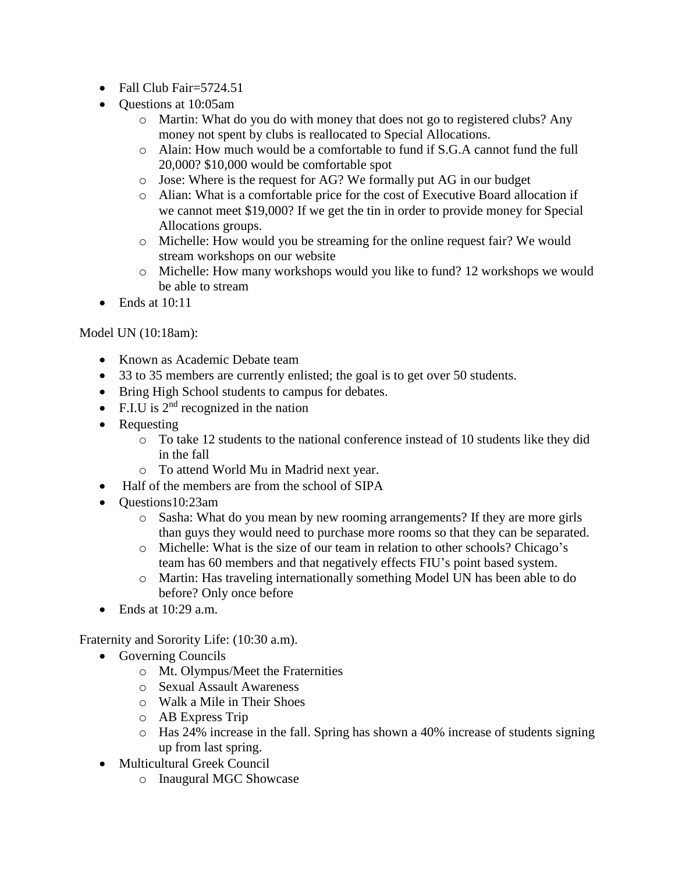- Fall Club Fair=5724.51
- Questions at 10:05am
	- o Martin: What do you do with money that does not go to registered clubs? Any money not spent by clubs is reallocated to Special Allocations.
	- o Alain: How much would be a comfortable to fund if S.G.A cannot fund the full 20,000? \$10,000 would be comfortable spot
	- o Jose: Where is the request for AG? We formally put AG in our budget
	- o Alian: What is a comfortable price for the cost of Executive Board allocation if we cannot meet \$19,000? If we get the tin in order to provide money for Special Allocations groups.
	- o Michelle: How would you be streaming for the online request fair? We would stream workshops on our website
	- o Michelle: How many workshops would you like to fund? 12 workshops we would be able to stream
- Ends at 10:11

## Model UN (10:18am):

- Known as Academic Debate team
- 33 to 35 members are currently enlisted; the goal is to get over 50 students.
- Bring High School students to campus for debates.
- F.I.U is  $2<sup>nd</sup>$  recognized in the nation
- Requesting
	- o To take 12 students to the national conference instead of 10 students like they did in the fall
	- o To attend World Mu in Madrid next year.
- Half of the members are from the school of SIPA
- Questions10:23am
	- o Sasha: What do you mean by new rooming arrangements? If they are more girls than guys they would need to purchase more rooms so that they can be separated.
	- o Michelle: What is the size of our team in relation to other schools? Chicago's team has 60 members and that negatively effects FIU's point based system.
	- o Martin: Has traveling internationally something Model UN has been able to do before? Only once before
- $\bullet$  Ends at 10:29 a.m.

Fraternity and Sorority Life: (10:30 a.m).

- Governing Councils
	- o Mt. Olympus/Meet the Fraternities
	- o Sexual Assault Awareness
	- o Walk a Mile in Their Shoes
	- o AB Express Trip
	- o Has 24% increase in the fall. Spring has shown a 40% increase of students signing up from last spring.
- Multicultural Greek Council
	- o Inaugural MGC Showcase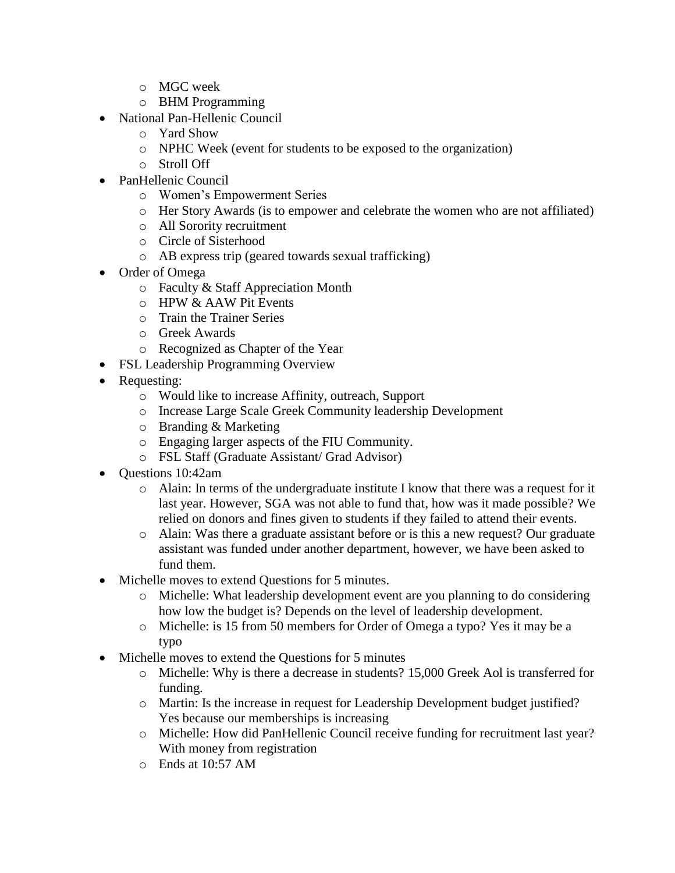- o MGC week
- o BHM Programming
- National Pan-Hellenic Council
	- o Yard Show
	- o NPHC Week (event for students to be exposed to the organization)
	- o Stroll Off
- PanHellenic Council
	- o Women's Empowerment Series
	- o Her Story Awards (is to empower and celebrate the women who are not affiliated)
	- o All Sorority recruitment
	- o Circle of Sisterhood
	- o AB express trip (geared towards sexual trafficking)
- Order of Omega
	- o Faculty & Staff Appreciation Month
	- o HPW & AAW Pit Events
	- o Train the Trainer Series
	- o Greek Awards
	- o Recognized as Chapter of the Year
- FSL Leadership Programming Overview
- Requesting:
	- o Would like to increase Affinity, outreach, Support
	- o Increase Large Scale Greek Community leadership Development
	- o Branding & Marketing
	- o Engaging larger aspects of the FIU Community.
	- o FSL Staff (Graduate Assistant/ Grad Advisor)
- Questions 10:42am
	- $\circ$  Alain: In terms of the undergraduate institute I know that there was a request for it last year. However, SGA was not able to fund that, how was it made possible? We relied on donors and fines given to students if they failed to attend their events.
	- o Alain: Was there a graduate assistant before or is this a new request? Our graduate assistant was funded under another department, however, we have been asked to fund them.
- Michelle moves to extend Questions for 5 minutes.
	- o Michelle: What leadership development event are you planning to do considering how low the budget is? Depends on the level of leadership development.
	- o Michelle: is 15 from 50 members for Order of Omega a typo? Yes it may be a typo
- Michelle moves to extend the Questions for 5 minutes
	- o Michelle: Why is there a decrease in students? 15,000 Greek Aol is transferred for funding.
	- o Martin: Is the increase in request for Leadership Development budget justified? Yes because our memberships is increasing
	- o Michelle: How did PanHellenic Council receive funding for recruitment last year? With money from registration
	- o Ends at 10:57 AM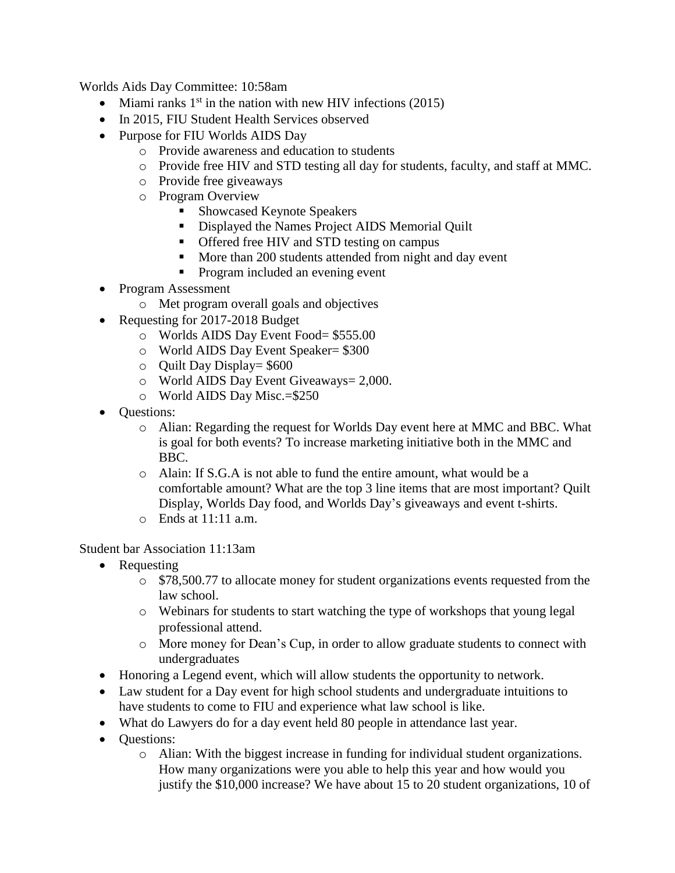Worlds Aids Day Committee: 10:58am

- $\bullet$  Miami ranks 1<sup>st</sup> in the nation with new HIV infections (2015)
- In 2015, FIU Student Health Services observed
- Purpose for FIU Worlds AIDS Day
	- o Provide awareness and education to students
	- o Provide free HIV and STD testing all day for students, faculty, and staff at MMC.
	- o Provide free giveaways
	- o Program Overview
		- Showcased Keynote Speakers
		- Displayed the Names Project AIDS Memorial Quilt
		- Offered free HIV and STD testing on campus
		- More than 200 students attended from night and day event
		- **Program included an evening event**
- Program Assessment
	- o Met program overall goals and objectives
- Requesting for 2017-2018 Budget
	- o Worlds AIDS Day Event Food= \$555.00
	- o World AIDS Day Event Speaker= \$300
	- $\circ$  Ouilt Day Display= \$600
	- o World AIDS Day Event Giveaways= 2,000.
	- o World AIDS Day Misc.=\$250
- **Questions:** 
	- o Alian: Regarding the request for Worlds Day event here at MMC and BBC. What is goal for both events? To increase marketing initiative both in the MMC and BBC.
	- o Alain: If S.G.A is not able to fund the entire amount, what would be a comfortable amount? What are the top 3 line items that are most important? Quilt Display, Worlds Day food, and Worlds Day's giveaways and event t-shirts.
	- o Ends at 11:11 a.m.

## Student bar Association 11:13am

- Requesting
	- o \$78,500.77 to allocate money for student organizations events requested from the law school.
	- o Webinars for students to start watching the type of workshops that young legal professional attend.
	- o More money for Dean's Cup, in order to allow graduate students to connect with undergraduates
- Honoring a Legend event, which will allow students the opportunity to network.
- Law student for a Day event for high school students and undergraduate intuitions to have students to come to FIU and experience what law school is like.
- What do Lawyers do for a day event held 80 people in attendance last year.
- Ouestions:
	- o Alian: With the biggest increase in funding for individual student organizations. How many organizations were you able to help this year and how would you justify the \$10,000 increase? We have about 15 to 20 student organizations, 10 of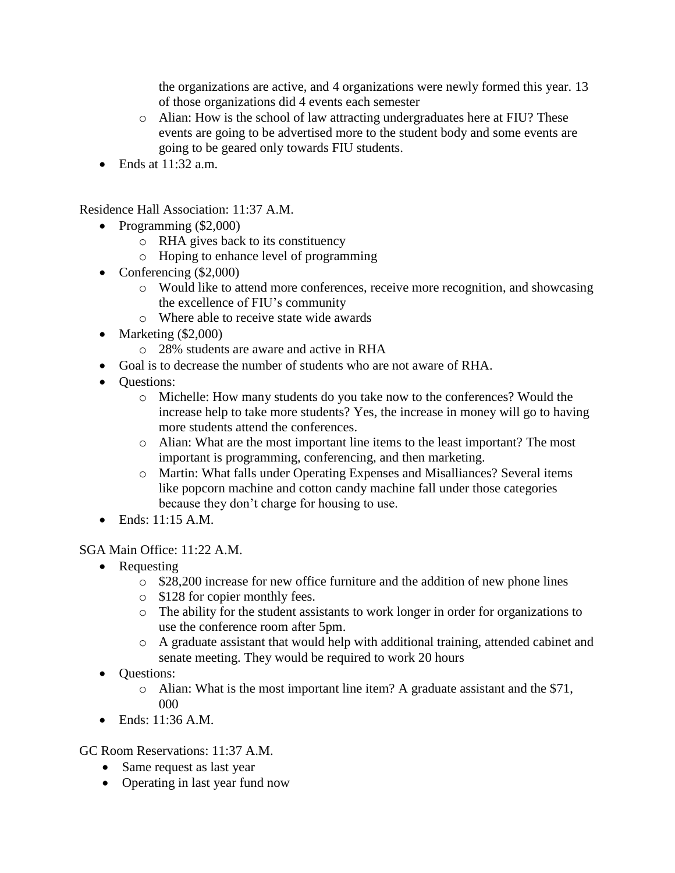the organizations are active, and 4 organizations were newly formed this year. 13 of those organizations did 4 events each semester

- o Alian: How is the school of law attracting undergraduates here at FIU? These events are going to be advertised more to the student body and some events are going to be geared only towards FIU students.
- $\bullet$  Ends at 11:32 a.m.

Residence Hall Association: 11:37 A.M.

- Programming (\$2,000)
	- o RHA gives back to its constituency
	- o Hoping to enhance level of programming
- Conferencing (\$2,000)
	- o Would like to attend more conferences, receive more recognition, and showcasing the excellence of FIU's community
	- o Where able to receive state wide awards
- Marketing  $(\$2,000)$ 
	- o 28% students are aware and active in RHA
- Goal is to decrease the number of students who are not aware of RHA.
- Ouestions:
	- o Michelle: How many students do you take now to the conferences? Would the increase help to take more students? Yes, the increase in money will go to having more students attend the conferences.
	- o Alian: What are the most important line items to the least important? The most important is programming, conferencing, and then marketing.
	- o Martin: What falls under Operating Expenses and Misalliances? Several items like popcorn machine and cotton candy machine fall under those categories because they don't charge for housing to use.
- Ends: 11:15 A.M.

## SGA Main Office: 11:22 A.M.

- Requesting
	- o \$28,200 increase for new office furniture and the addition of new phone lines
	- o \$128 for copier monthly fees.
	- o The ability for the student assistants to work longer in order for organizations to use the conference room after 5pm.
	- o A graduate assistant that would help with additional training, attended cabinet and senate meeting. They would be required to work 20 hours
- Questions:
	- o Alian: What is the most important line item? A graduate assistant and the \$71, 000
- $\bullet$  Ends: 11:36 A.M.

GC Room Reservations: 11:37 A.M.

- Same request as last year
- Operating in last year fund now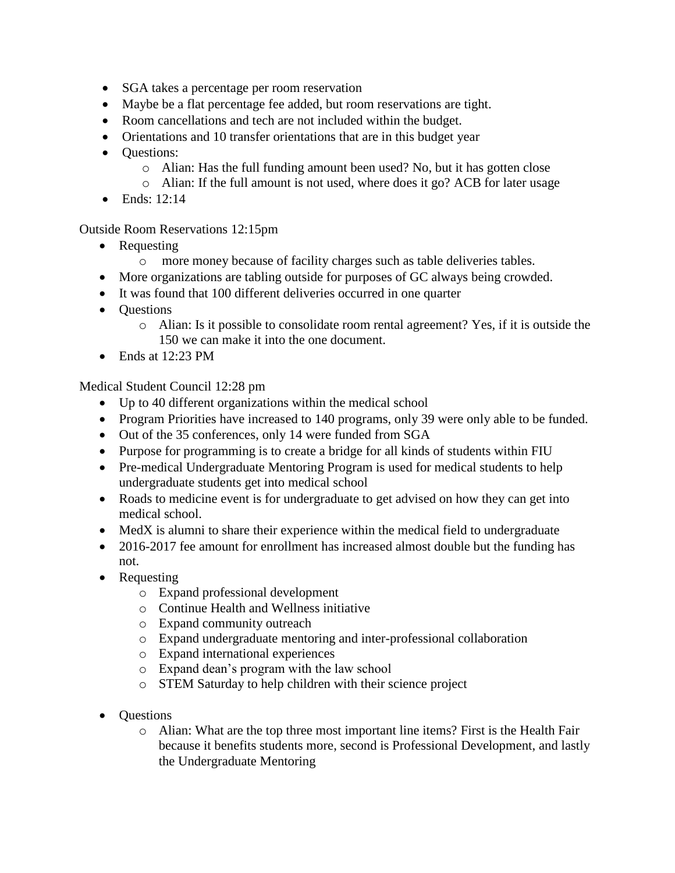- SGA takes a percentage per room reservation
- Maybe be a flat percentage fee added, but room reservations are tight.
- Room cancellations and tech are not included within the budget.
- Orientations and 10 transfer orientations that are in this budget year
- Ouestions:
	- o Alian: Has the full funding amount been used? No, but it has gotten close
	- o Alian: If the full amount is not used, where does it go? ACB for later usage
- $\bullet$  Ends: 12:14

Outside Room Reservations 12:15pm

- Requesting
	- o more money because of facility charges such as table deliveries tables.
- More organizations are tabling outside for purposes of GC always being crowded.
- It was found that 100 different deliveries occurred in one quarter
- Questions
	- o Alian: Is it possible to consolidate room rental agreement? Yes, if it is outside the 150 we can make it into the one document.
- $\bullet$  Ends at 12:23 PM

Medical Student Council 12:28 pm

- Up to 40 different organizations within the medical school
- Program Priorities have increased to 140 programs, only 39 were only able to be funded.
- Out of the 35 conferences, only 14 were funded from SGA
- Purpose for programming is to create a bridge for all kinds of students within FIU
- Pre-medical Undergraduate Mentoring Program is used for medical students to help undergraduate students get into medical school
- Roads to medicine event is for undergraduate to get advised on how they can get into medical school.
- MedX is alumni to share their experience within the medical field to undergraduate
- 2016-2017 fee amount for enrollment has increased almost double but the funding has not.
- Requesting
	- o Expand professional development
	- o Continue Health and Wellness initiative
	- o Expand community outreach
	- o Expand undergraduate mentoring and inter-professional collaboration
	- o Expand international experiences
	- o Expand dean's program with the law school
	- o STEM Saturday to help children with their science project
- Questions
	- o Alian: What are the top three most important line items? First is the Health Fair because it benefits students more, second is Professional Development, and lastly the Undergraduate Mentoring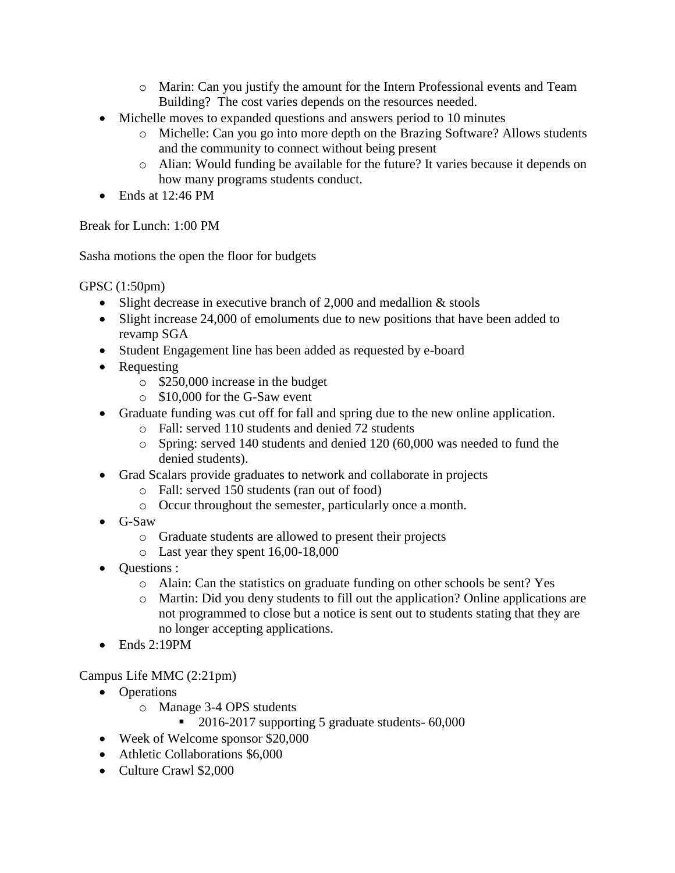- o Marin: Can you justify the amount for the Intern Professional events and Team Building? The cost varies depends on the resources needed.
- Michelle moves to expanded questions and answers period to 10 minutes
	- o Michelle: Can you go into more depth on the Brazing Software? Allows students and the community to connect without being present
	- o Alian: Would funding be available for the future? It varies because it depends on how many programs students conduct.
- $\bullet$  Ends at 12:46 PM

Break for Lunch: 1:00 PM

Sasha motions the open the floor for budgets

GPSC (1:50pm)

- Slight decrease in executive branch of 2,000 and medallion & stools
- Slight increase 24,000 of emoluments due to new positions that have been added to revamp SGA
- Student Engagement line has been added as requested by e-board
- Requesting
	- o \$250,000 increase in the budget
	- o \$10,000 for the G-Saw event
- Graduate funding was cut off for fall and spring due to the new online application.
	- o Fall: served 110 students and denied 72 students
	- o Spring: served 140 students and denied 120 (60,000 was needed to fund the denied students).
- Grad Scalars provide graduates to network and collaborate in projects
	- o Fall: served 150 students (ran out of food)
	- o Occur throughout the semester, particularly once a month.
- G-Saw
	- o Graduate students are allowed to present their projects
	- o Last year they spent 16,00-18,000
- **Questions** :
	- o Alain: Can the statistics on graduate funding on other schools be sent? Yes
	- o Martin: Did you deny students to fill out the application? Online applications are not programmed to close but a notice is sent out to students stating that they are no longer accepting applications.
- $\bullet$  Ends 2:19PM

Campus Life MMC (2:21pm)

- Operations
	- o Manage 3-4 OPS students
		- 2016-2017 supporting 5 graduate students- 60,000
- Week of Welcome sponsor \$20,000
- Athletic Collaborations \$6,000
- Culture Crawl \$2,000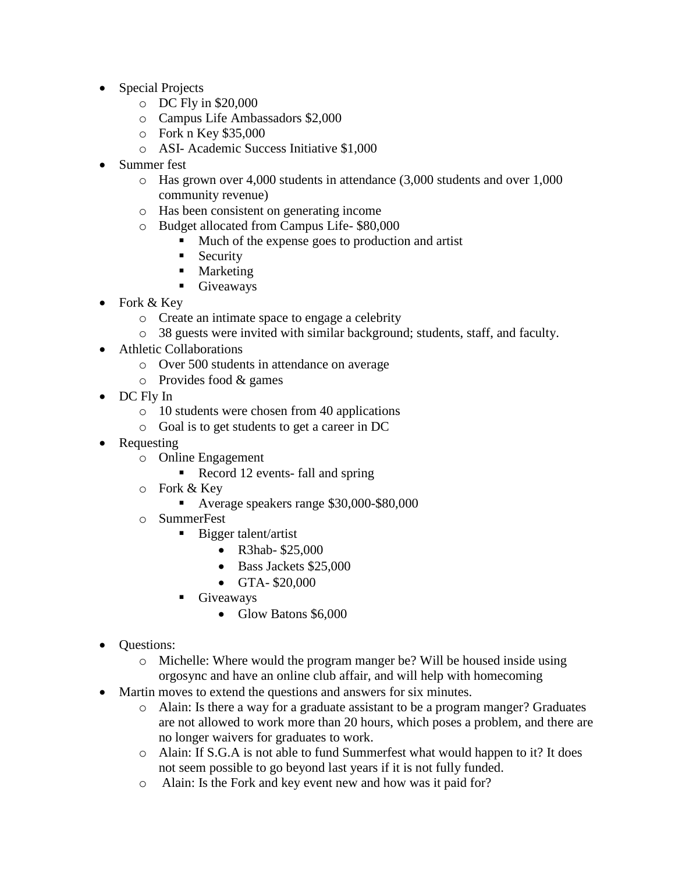- Special Projects
	- o DC Fly in \$20,000
	- o Campus Life Ambassadors \$2,000
	- o Fork n Key \$35,000
	- o ASI- Academic Success Initiative \$1,000
- Summer fest
	- $\circ$  Has grown over 4,000 students in attendance (3,000 students and over 1,000 community revenue)
	- o Has been consistent on generating income
	- o Budget allocated from Campus Life- \$80,000
		- **Much of the expense goes to production and artist**
		- **Security**
		- Marketing
		- **Giveaways**
- Fork  $&$  Key
	- o Create an intimate space to engage a celebrity
	- o 38 guests were invited with similar background; students, staff, and faculty.
- Athletic Collaborations
	- o Over 500 students in attendance on average
	- o Provides food & games
- DC Fly In
	- o 10 students were chosen from 40 applications
	- o Goal is to get students to get a career in DC
- Requesting
	- o Online Engagement
		- Record 12 events- fall and spring
	- o Fork & Key
		- Average speakers range \$30,000-\$80,000
	- o SummerFest
		- Bigger talent/artist
			- R3hab- \$25,000
			- Bass Jackets \$25,000
			- GTA- \$20,000
		- **Giveaways** 
			- Glow Batons \$6,000
- **Ouestions:** 
	- o Michelle: Where would the program manger be? Will be housed inside using orgosync and have an online club affair, and will help with homecoming
- Martin moves to extend the questions and answers for six minutes.
	- o Alain: Is there a way for a graduate assistant to be a program manger? Graduates are not allowed to work more than 20 hours, which poses a problem, and there are no longer waivers for graduates to work.
	- o Alain: If S.G.A is not able to fund Summerfest what would happen to it? It does not seem possible to go beyond last years if it is not fully funded.
	- o Alain: Is the Fork and key event new and how was it paid for?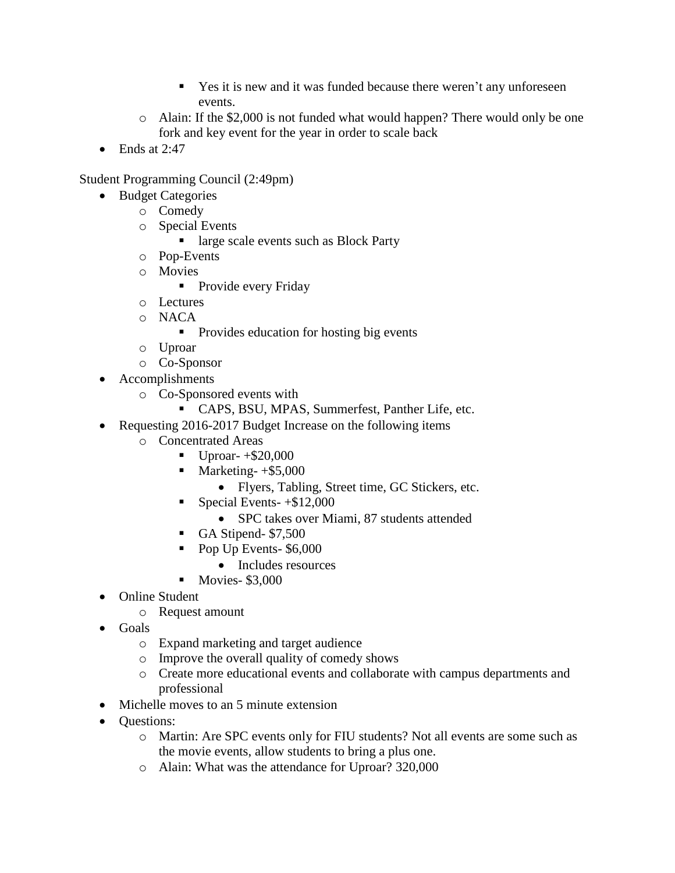- Yes it is new and it was funded because there weren't any unforeseen events.
- o Alain: If the \$2,000 is not funded what would happen? There would only be one fork and key event for the year in order to scale back
- $\bullet$  Ends at 2:47

Student Programming Council (2:49pm)

- Budget Categories
	- o Comedy
	- o Special Events
		- large scale events such as Block Party
	- o Pop-Events
	- o Movies
		- **Provide every Friday**
	- o Lectures
	- o NACA
		- Provides education for hosting big events
	- o Uproar
	- o Co-Sponsor
- Accomplishments
	- o Co-Sponsored events with
		- CAPS, BSU, MPAS, Summerfest, Panther Life, etc.
- Requesting 2016-2017 Budget Increase on the following items
	- o Concentrated Areas
		- $\blacksquare$  Uproar- +\$20,000
		- $\blacksquare$  Marketing- +\$5,000
			- Flyers, Tabling, Street time, GC Stickers, etc.
		- Special Events- $+$ \$12,000
			- SPC takes over Miami, 87 students attended
		- GA Stipend- \$7,500
		- Pop Up Events- \$6,000
			- Includes resources
		- $\blacksquare$  Movies- \$3,000
- Online Student
	- o Request amount
- Goals
	- o Expand marketing and target audience
	- o Improve the overall quality of comedy shows
	- o Create more educational events and collaborate with campus departments and professional
- Michelle moves to an 5 minute extension
- Questions:
	- o Martin: Are SPC events only for FIU students? Not all events are some such as the movie events, allow students to bring a plus one.
	- o Alain: What was the attendance for Uproar? 320,000